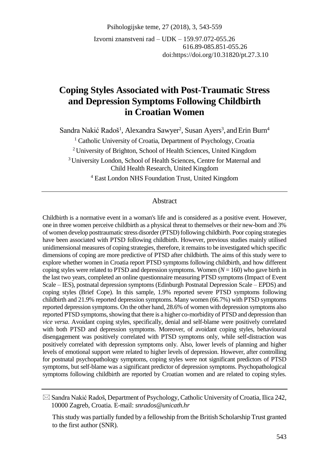Psihologijske teme, 27 (2018), 3, 543-559

Izvorni znanstveni rad – UDK – 159.97.072-055.26 616.89-085.851-055.26 doi:https://doi.org/10.31820/pt.27.3.10

# **Coping Styles Associated with Post-Traumatic Stress and Depression Symptoms Following Childbirth in Croatian Women**

Sandra Nakić Radoš<sup>1</sup>, Alexandra Sawyer<sup>2</sup>, Susan Ayers<sup>3</sup>, and Erin Burn<sup>4</sup>

<sup>1</sup> Catholic University of Croatia, Department of Psychology, Croatia

<sup>2</sup> University of Brighton, School of Health Sciences, United Kingdom

<sup>3</sup> University London, School of Health Sciences, Centre for Maternal and Child Health Research, United Kingdom

<sup>4</sup> East London NHS Foundation Trust, United Kingdom

#### Abstract

Childbirth is a normative event in a woman's life and is considered as a positive event. However, one in three women perceive childbirth as a physical threat to themselves or their new-born and 3% of women develop posttraumatic stress disorder (PTSD) following childbirth. Poor coping strategies have been associated with PTSD following childbirth. However, previous studies mainly utilised unidimensional measures of coping strategies, therefore, it remains to be investigated which specific dimensions of coping are more predictive of PTSD after childbirth. The aims of this study were to explore whether women in Croatia report PTSD symptoms following childbirth, and how different coping styles were related to PTSD and depression symptoms. Women  $(N = 160)$  who gave birth in the last two years, completed an online questionnaire measuring PTSD symptoms (Impact of Event Scale – IES), postnatal depression symptoms (Edinburgh Postnatal Depression Scale – EPDS) and coping styles (Brief Cope). In this sample, 1.9% reported severe PTSD symptoms following childbirth and 21.9% reported depression symptoms. Many women (66.7%) with PTSD symptoms reported depression symptoms. On the other hand, 28.6% of women with depression symptoms also reported PTSD symptoms, showing that there is a higher co-morbidity of PTSD and depression than *vice versa*. Avoidant coping styles, specifically, denial and self-blame were positively correlated with both PTSD and depression symptoms. Moreover, of avoidant coping styles, behavioural disengagement was positively correlated with PTSD symptoms only, while self-distraction was positively correlated with depression symptoms only. Also, lower levels of planning and higher levels of emotional support were related to higher levels of depression. However, after controlling for postnatal psychopathology symptoms, coping styles were not significant predictors of PTSD symptoms, but self-blame was a significant predictor of depression symptoms. Psychopathological symptoms following childbirth are reported by Croatian women and are related to coping styles.

Sandra Nakić Radoš, Department of Psychology, Catholic University of Croatia*,* Ilica 242, 10000 Zagreb, Croatia. E-mail: *snrados@unicath.hr*

This study was partially funded by a fellowship from the British Scholarship Trust granted to the first author (SNR).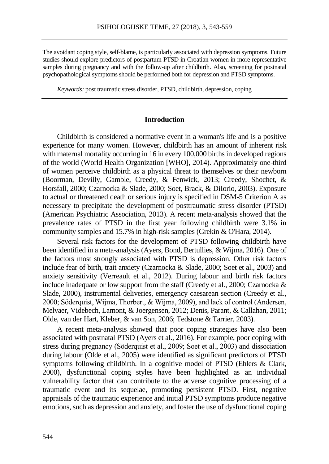The avoidant coping style, self-blame, is particularly associated with depression symptoms. Future studies should explore predictors of postpartum PTSD in Croatian women in more representative samples during pregnancy and with the follow-up after childbirth. Also, screening for postnatal psychopathological symptoms should be performed both for depression and PTSD symptoms.

*Keywords:* post traumatic stress disorder, PTSD, childbirth, depression, coping

### **Introduction**

Childbirth is considered a normative event in a woman's life and is a positive experience for many women. However, childbirth has an amount of inherent risk with maternal mortality occurring in 16 in every 100,000 births in developed regions of the world (World Health Organization [WHO], 2014). Approximately one-third of women perceive childbirth as a physical threat to themselves or their newborn (Boorman, Devilly, Gamble, Creedy, & Fenwick, 2013; Creedy, Shochet, & Horsfall, 2000; Czarnocka & Slade, 2000; Soet, Brack, & DiIorio, 2003). Exposure to actual or threatened death or serious injury is specified in DSM-5 Criterion A as necessary to precipitate the development of posttraumatic stress disorder (PTSD) (American Psychiatric Association, 2013). A recent meta-analysis showed that the prevalence rates of PTSD in the first year following childbirth were 3.1% in community samples and 15.7% in high-risk samples (Grekin & O'Hara, 2014).

Several risk factors for the development of PTSD following childbirth have been identified in a meta-analysis (Ayers, Bond, Bertullies, & Wijma, 2016). One of the factors most strongly associated with PTSD is depression. Other risk factors include fear of birth, trait anxiety (Czarnocka & Slade, 2000; Soet et al., 2003) and anxiety sensitivity (Verreault et al., 2012). During labour and birth risk factors include inadequate or low support from the staff (Creedy et al., 2000; Czarnocka & Slade, 2000), instrumental deliveries, emergency caesarean section (Creedy et al., 2000; Söderquist, Wijma, Thorbert, & Wijma, 2009), and lack of control (Andersen, Melvaer, Videbech, Lamont, & Joergensen, 2012; Denis, Parant, & Callahan, 2011; Olde, van der Hart, Kleber, & van Son, 2006; Tedstone & Tarrier, 2003).

A recent meta-analysis showed that poor coping strategies have also been associated with postnatal PTSD (Ayers et al., 2016). For example, poor coping with stress during pregnancy (Söderquist et al., 2009; Soet et al., 2003) and dissociation during labour (Olde et al., 2005) were identified as significant predictors of PTSD symptoms following childbirth. In a cognitive model of PTSD (Ehlers & Clark, 2000), dysfunctional coping styles have been highlighted as an individual vulnerability factor that can contribute to the adverse cognitive processing of a traumatic event and its sequelae, promoting persistent PTSD. First, negative appraisals of the traumatic experience and initial PTSD symptoms produce negative emotions, such as depression and anxiety, and foster the use of dysfunctional coping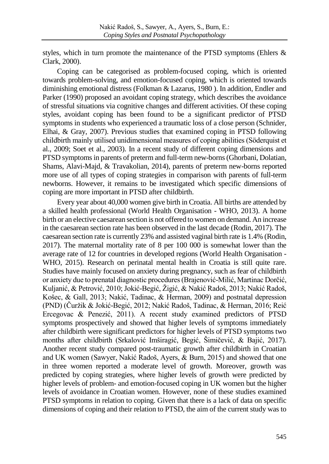styles, which in turn promote the maintenance of the PTSD symptoms (Ehlers  $\&$ Clark, 2000).

Coping can be categorised as problem-focused coping, which is oriented towards problem-solving, and emotion-focused coping, which is oriented towards diminishing emotional distress (Folkman & Lazarus, 1980 ). In addition, Endler and Parker (1990) proposed an avoidant coping strategy, which describes the avoidance of stressful situations via cognitive changes and different activities. Of these coping styles, avoidant coping has been found to be a significant predictor of PTSD symptoms in students who experienced a traumatic loss of a close person (Schnider, Elhai, & Gray, 2007). Previous studies that examined coping in PTSD following childbirth mainly utilised unidimensional measures of coping abilities (Söderquist et al., 2009; Soet et al., 2003). In a recent study of different coping dimensions and PTSD symptoms in parents of preterm and full-term new-borns (Ghorbani, Dolatian, Shams, Alavi-Majd, & Travakolian, 2014), parents of preterm new-borns reported more use of all types of coping strategies in comparison with parents of full-term newborns. However, it remains to be investigated which specific dimensions of coping are more important in PTSD after childbirth.

Every year about 40,000 women give birth in Croatia. All births are attended by a skilled health professional (World Health Organisation - WHO, 2013). A home birth or an elective caesarean section is not offered to women on demand. An increase in the caesarean section rate has been observed in the last decade (Rodin, 2017). The caesarean section rate is currently 23% and assisted vaginal birth rate is 1.4% (Rodin, 2017). The maternal mortality rate of 8 per 100 000 is somewhat lower than the average rate of 12 for countries in developed regions (World Health Organisation - WHO, 2015). Research on perinatal mental health in Croatia is still quite rare. Studies have mainly focused on anxiety during pregnancy, such as fear of childbirth or anxiety due to prenatal diagnostic procedures (Brajenović-Milić, Martinac Dorčić, Kuljanić, & Petrović, 2010; Jokić-Begić, Žigić, & Nakić Radoš, 2013; Nakić Radoš, Košec, & Gall, 2013; Nakić, Tadinac, & Herman, 2009) and postnatal depression (PND) (Čuržik & Jokić-Begić, 2012; Nakić Radoš, Tadinac, & Herman, 2016; Reić Ercegovac & Penezić, 2011). A recent study examined predictors of PTSD symptoms prospectively and showed that higher levels of symptoms immediately after childbirth were significant predictors for higher levels of PTSD symptoms two months after childbirth (Srkalović Imširagić, Begić, Šimičević, & Bajić, 2017). Another recent study compared post-traumatic growth after childbirth in Croatian and UK women (Sawyer, Nakić Radoš, Ayers, & Burn, 2015) and showed that one in three women reported a moderate level of growth. Moreover, growth was predicted by coping strategies, where higher levels of growth were predicted by higher levels of problem- and emotion-focused coping in UK women but the higher levels of avoidance in Croatian women. However, none of these studies examined PTSD symptoms in relation to coping. Given that there is a lack of data on specific dimensions of coping and their relation to PTSD, the aim of the current study was to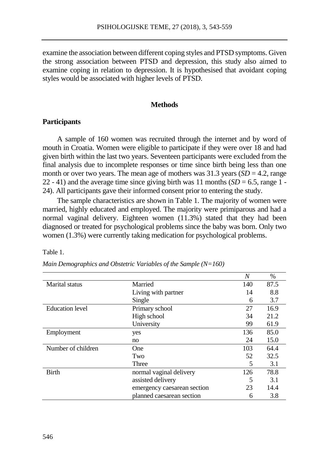examine the association between different coping styles and PTSD symptoms. Given the strong association between PTSD and depression, this study also aimed to examine coping in relation to depression. It is hypothesised that avoidant coping styles would be associated with higher levels of PTSD.

#### **Methods**

### **Participants**

A sample of 160 women was recruited through the internet and by word of mouth in Croatia. Women were eligible to participate if they were over 18 and had given birth within the last two years. Seventeen participants were excluded from the final analysis due to incomplete responses or time since birth being less than one month or over two years. The mean age of mothers was  $31.3$  years  $(SD = 4.2$ , range 22 - 41) and the average time since giving birth was 11 months  $(SD = 6.5, \text{ range } 1 -$ 24). All participants gave their informed consent prior to entering the study.

The sample characteristics are shown in Table 1. The majority of women were married, highly educated and employed. The majority were primiparous and had a normal vaginal delivery. Eighteen women (11.3%) stated that they had been diagnosed or treated for psychological problems since the baby was born. Only two women (1.3%) were currently taking medication for psychological problems.

Table 1.

|                        |                             | N   | $\%$ |
|------------------------|-----------------------------|-----|------|
| Marital status         | Married                     | 140 | 87.5 |
|                        | Living with partner         | 14  | 8.8  |
|                        | Single                      | 6   | 3.7  |
| <b>Education</b> level | Primary school              | 27  | 16.9 |
|                        | High school                 | 34  | 21.2 |
|                        | University                  | 99  | 61.9 |
| Employment             | yes                         | 136 | 85.0 |
|                        | no                          | 24  | 15.0 |
| Number of children     | One                         | 103 | 64.4 |
|                        | Two                         | 52  | 32.5 |
|                        | Three                       | 5   | 3.1  |
| <b>Birth</b>           | normal vaginal delivery     | 126 | 78.8 |
|                        | assisted delivery           | 5   | 3.1  |
|                        | emergency caesarean section | 23  | 14.4 |
|                        | planned caesarean section   | 6   | 3.8  |

| Main Demographics and Obstetric Variables of the Sample (N=160) |  |  |  |  |  |
|-----------------------------------------------------------------|--|--|--|--|--|
|-----------------------------------------------------------------|--|--|--|--|--|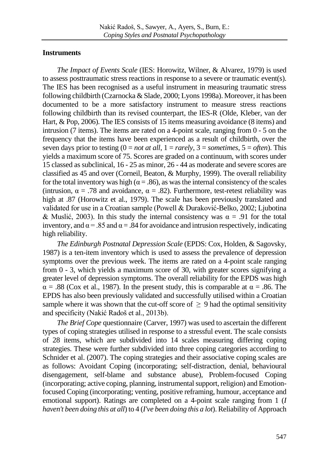# **Instruments**

*The Impact of Events Scale* (IES: Horowitz, Wilner, & Alvarez, 1979) is used to assess posttraumatic stress reactions in response to a severe or traumatic event(s). The IES has been recognised as a useful instrument in measuring traumatic stress following childbirth (Czarnocka & Slade, 2000; Lyons 1998a). Moreover, it has been documented to be a more satisfactory instrument to measure stress reactions following childbirth than its revised counterpart, the IES-R (Olde, Kleber, van der Hart, & Pop, 2006). The IES consists of 15 items measuring avoidance (8 items) and intrusion (7 items). The items are rated on a 4-point scale, ranging from 0 - 5 on the frequency that the items have been experienced as a result of childbirth, over the seven days prior to testing  $(0 = not at all, 1 = rarely, 3 = sometimes, 5 = often)$ . This yields a maximum score of 75. Scores are graded on a continuum, with scores under 15 classed as subclinical, 16 - 25 as minor, 26 - 44 as moderate and severe scores are classified as 45 and over (Corneil, Beaton, & Murphy, 1999). The overall reliability for the total inventory was high ( $\alpha = .86$ ), as was the internal consistency of the scales (intrusion,  $\alpha = .78$  and avoidance,  $\alpha = .82$ ). Furthermore, test-retest reliability was high at .87 (Horowitz et al., 1979). The scale has been previously translated and validated for use in a Croatian sample (Powell & Duraković-Belko, 2002; Ljubotina & Muslić, 2003). In this study the internal consistency was  $\alpha = .91$  for the total inventory, and  $\alpha = 0.85$  and  $\alpha = 0.84$  for avoidance and intrusion respectively, indicating high reliability.

*The Edinburgh Postnatal Depression Scale* (EPDS: Cox, Holden, & Sagovsky, 1987) is a ten-item inventory which is used to assess the prevalence of depression symptoms over the previous week. The items are rated on a 4-point scale ranging from 0 - 3, which yields a maximum score of 30, with greater scores signifying a greater level of depression symptoms. The overall reliability for the EPDS was high  $\alpha$  = .88 (Cox et al., 1987). In the present study, this is comparable at  $\alpha$  = .86. The EPDS has also been previously validated and successfully utilised within a Croatian sample where it was shown that the cut-off score of  $\geq$  9 had the optimal sensitivity and specificity (Nakić Radoš et al., 2013b).

*The Brief Cope* questionnaire (Carver, 1997) was used to ascertain the different types of coping strategies utilised in response to a stressful event. The scale consists of 28 items, which are subdivided into 14 scales measuring differing coping strategies. These were further subdivided into three coping categories according to Schnider et al. (2007). The coping strategies and their associative coping scales are as follows: Avoidant Coping (incorporating; self-distraction, denial, behavioural disengagement, self-blame and substance abuse), Problem-focused Coping (incorporating; active coping, planning, instrumental support, religion) and Emotionfocused Coping (incorporating; venting, positive reframing, humour, acceptance and emotional support). Ratings are completed on a 4-point scale ranging from 1 (*I haven't been doing this at all*) to 4 (*I've been doing this a lot*). Reliability of Approach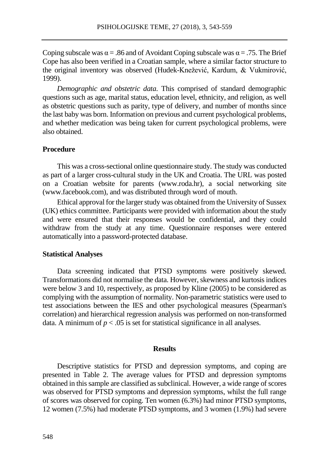Coping subscale was  $\alpha = .86$  and of Avoidant Coping subscale was  $\alpha = .75$ . The Brief Cope has also been verified in a Croatian sample, where a similar factor structure to the original inventory was observed (Hudek-Knežević, Kardum, & Vukmirović, 1999).

*Demographic and obstetric data.* This comprised of standard demographic questions such as age, marital status, education level, ethnicity, and religion, as well as obstetric questions such as parity, type of delivery, and number of months since the last baby was born. Information on previous and current psychological problems, and whether medication was being taken for current psychological problems, were also obtained.

## **Procedure**

This was a cross-sectional online questionnaire study. The study was conducted as part of a larger cross-cultural study in the UK and Croatia. The URL was posted on a Croatian website for parents (www.roda.hr), a social networking site (www.facebook.com), and was distributed through word of mouth.

Ethical approval for the larger study was obtained from the University of Sussex (UK) ethics committee. Participants were provided with information about the study and were ensured that their responses would be confidential, and they could withdraw from the study at any time. Questionnaire responses were entered automatically into a password-protected database.

#### **Statistical Analyses**

Data screening indicated that PTSD symptoms were positively skewed. Transformations did not normalise the data. However, skewness and kurtosis indices were below 3 and 10, respectively, as proposed by Kline (2005) to be considered as complying with the assumption of normality. Non-parametric statistics were used to test associations between the IES and other psychological measures (Spearman's correlation) and hierarchical regression analysis was performed on non-transformed data. A minimum of  $p < .05$  is set for statistical significance in all analyses.

#### **Results**

Descriptive statistics for PTSD and depression symptoms, and coping are presented in Table 2. The average values for PTSD and depression symptoms obtained in this sample are classified as subclinical. However, a wide range of scores was observed for PTSD symptoms and depression symptoms, whilst the full range of scores was observed for coping. Ten women (6.3%) had minor PTSD symptoms, 12 women (7.5%) had moderate PTSD symptoms, and 3 women (1.9%) had severe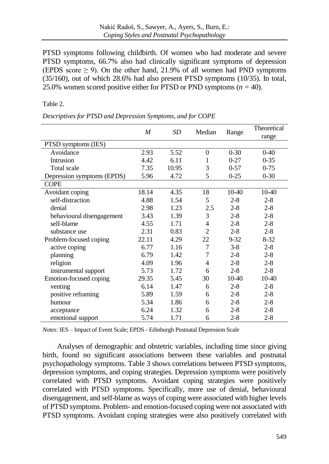PTSD symptoms following childbirth. Of women who had moderate and severe PTSD symptoms, 66.7% also had clinically significant symptoms of depression (EPDS score  $\geq$  9). On the other hand, 21.9% of all women had PND symptoms (35/160), out of which 28.6% had also present PTSD symptoms (10/35). In total, 25.0% women scored positive either for PTSD or PND symptoms ( $n = 40$ ).

## Table 2.

*Descriptives for PTSD and Depression Symptoms, and for COPE* 

|                            | $\boldsymbol{M}$ | <b>SD</b> | Median         | Range    | Theoretical<br>range |
|----------------------------|------------------|-----------|----------------|----------|----------------------|
| PTSD symptoms (IES)        |                  |           |                |          |                      |
| Avoidance                  | 2.93             | 5.52      | $\overline{0}$ | $0 - 30$ | $0 - 40$             |
| Intrusion                  | 4.42             | 6.11      | 1              | $0 - 27$ | $0 - 35$             |
| Total scale                | 7.35             | 10.95     | 3              | $0 - 57$ | $0 - 75$             |
| Depression symptoms (EPDS) | 5.96             | 4.72      | 5              | $0-25$   | $0 - 30$             |
| <b>COPE</b>                |                  |           |                |          |                      |
| Avoidant coping            | 18.14            | 4.35      | 18             | $10-40$  | $10-40$              |
| self-distraction           | 4.88             | 1.54      | 5              | $2 - 8$  | $2 - 8$              |
| denial                     | 2.98             | 1.23      | 2.5            | $2 - 8$  | $2 - 8$              |
| behavioural disengagement  | 3.43             | 1.39      | 3              | $2 - 8$  | $2 - 8$              |
| self-blame                 | 4.55             | 1.71      | 4              | $2 - 8$  | $2 - 8$              |
| substance use              | 2.31             | 0.83      | $\overline{2}$ | $2 - 8$  | $2 - 8$              |
| Problem-focused coping     | 22.11            | 4.29      | 22             | $9 - 32$ | $8 - 32$             |
| active coping              | 6.77             | 1.16      | 7              | $3 - 8$  | $2 - 8$              |
| planning                   | 6.79             | 1.42      | $\overline{7}$ | $2 - 8$  | $2 - 8$              |
| religion                   | 4.09             | 1.96      | 4              | $2 - 8$  | $2 - 8$              |
| instrumental support       | 5.73             | 1.72      | 6              | $2 - 8$  | $2 - 8$              |
| Emotion-focused coping     | 29.35            | 5.45      | 30             | $10-40$  | $10-40$              |
| venting                    | 6.14             | 1.47      | 6              | $2 - 8$  | $2 - 8$              |
| positive reframing         | 5.89             | 1.59      | 6              | $2 - 8$  | $2 - 8$              |
| humour                     | 5.34             | 1.86      | 6              | $2 - 8$  | $2 - 8$              |
| acceptance                 | 6.24             | 1.32      | 6              | $2 - 8$  | $2 - 8$              |
| emotional support          | 5.74             | 1.71      | 6              | $2 - 8$  | $2 - 8$              |

*Notes:* IES – Impact of Event Scale; EPDS - Edinburgh Postnatal Depression Scale

Analyses of demographic and obstetric variables, including time since giving birth, found no significant associations between these variables and postnatal psychopathology symptoms. Table 3 shows correlations between PTSD symptoms, depression symptoms, and coping strategies. Depression symptoms were positively correlated with PTSD symptoms. Avoidant coping strategies were positively correlated with PTSD symptoms. Specifically, more use of denial, behavioural disengagement, and self-blame as ways of coping were associated with higher levels of PTSD symptoms. Problem- and emotion-focused coping were not associated with PTSD symptoms. Avoidant coping strategies were also positively correlated with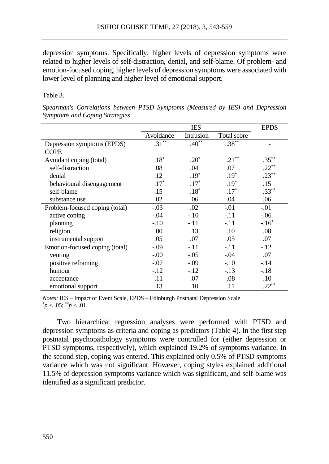depression symptoms. Specifically, higher levels of depression symptoms were related to higher levels of self-distraction, denial, and self-blame. Of problem- and emotion-focused coping, higher levels of depression symptoms were associated with lower level of planning and higher level of emotional support.

### Table 3.

|                                |           | <b>EPDS</b> |                     |          |
|--------------------------------|-----------|-------------|---------------------|----------|
|                                | Avoidance | Intrusion   | Total score         |          |
| Depression symptoms (EPDS)     | $.31***$  | $.40***$    | $.38***$            |          |
| <b>COPE</b>                    |           |             |                     |          |
| Avoidant coping (total)        | $.18*$    | $.20^*$     | $.21$ <sup>**</sup> | $.35***$ |
| self-distraction               | .08       | .04         | .07                 | $.22***$ |
| denial                         | .12       | $.19*$      | $.19*$              | $.23***$ |
| behavioural disengagement      | $.17*$    | $.17*$      | $.19*$              | .15      |
| self-blame                     | .15       | $.18*$      | $.17*$              | $.33***$ |
| substance use                  | .02       | .06         | .04                 | .06      |
| Problem-focused coping (total) | $-.03$    | .02         | $-.01$              | $-.01$   |
| active coping                  | $-.04$    | $-.10$      | $-.11$              | $-.06$   |
| planning                       | $-.10$    | $-.11$      | $-.11$              | $-.16*$  |
| religion                       | .00       | .13         | .10                 | .08      |
| instrumental support           | .05       | .07         | .05                 | .07      |
| Emotion-focused coping (total) | $-.09$    | $-.11$      | $-.11$              | $-12$    |
| venting                        | $-.00$    | $-.05$      | $-.04$              | .07      |
| positive reframing             | $-.07$    | $-.09$      | $-.10$              | $-.14$   |
| humour                         | $-.12$    | $-.12$      | $-.13$              | $-.18$   |
| acceptance                     | $-.11$    | $-.07$      | $-.08$              | $-.10$   |
| emotional support              | .13       | .10         | .11                 | $.22***$ |

*Spearman's Correlations between PTSD Symptoms (Measured by IES) and Depression Symptoms and Coping Strategies*

*Notes:* IES – Impact of Event Scale, EPDS – Edinburgh Postnatal Depression Scale  $p < .05$ ;  $p < .01$ .

Two hierarchical regression analyses were performed with PTSD and depression symptoms as criteria and coping as predictors (Table 4). In the first step postnatal psychopathology symptoms were controlled for (either depression or PTSD symptoms, respectively), which explained 19.2% of symptoms variance. In the second step, coping was entered. This explained only 0.5% of PTSD symptoms variance which was not significant. However, coping styles explained additional 11.5% of depression symptoms variance which was significant, and self-blame was identified as a significant predictor.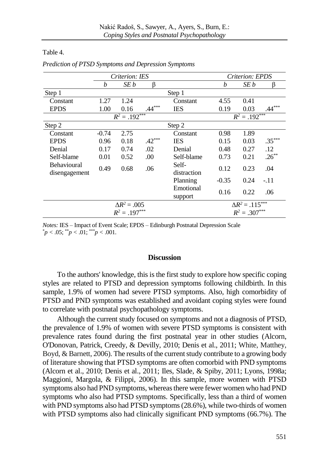|                                     | Criterion: IES     |      |          | Criterion: EPDS      |                           |      |          |  |
|-------------------------------------|--------------------|------|----------|----------------------|---------------------------|------|----------|--|
|                                     | h                  | SE b | ß        |                      | b                         | SE b | ß        |  |
| Step 1                              |                    |      |          | Step 1               |                           |      |          |  |
| Constant                            | 1.27               | 1.24 |          | Constant             | 4.55                      | 0.41 |          |  |
| <b>EPDS</b>                         | 1.00               | 0.16 | $.44***$ | <b>IES</b>           | 0.19                      | 0.03 | $.44***$ |  |
|                                     | $R^2 = .192^{***}$ |      |          |                      | $R^2 = .192***$           |      |          |  |
| Step 2                              |                    |      |          | Step 2               |                           |      |          |  |
| Constant                            | $-0.74$            | 2.75 |          | Constant             | 0.98                      | 1.89 |          |  |
| <b>EPDS</b>                         | 0.96               | 0.18 | $.42***$ | <b>IES</b>           | 0.15                      | 0.03 | $.35***$ |  |
| Denial                              | 0.17               | 0.74 | .02      | Denial               | 0.48                      | 0.27 | .12      |  |
| Self-blame                          | 0.01               | 0.52 | .00      | Self-blame           | 0.73                      | 0.21 | $.26***$ |  |
| <b>Behavioural</b><br>disengagement | 0.49               | 0.68 | .06      | Self-<br>distraction | 0.12                      | 0.23 | .04      |  |
|                                     |                    |      |          | Planning             | $-0.35$                   | 0.24 | $-.11$   |  |
|                                     |                    |      |          | Emotional<br>support | 0.16                      | 0.22 | .06      |  |
| $\Delta R^2 = .005$                 |                    |      |          |                      | $\Delta R^2 = .115^{***}$ |      |          |  |
| $R^2 = .197***$                     |                    |      |          |                      | $R^2 = .307***$           |      |          |  |

*Prediction of PTSD Symptoms and Depression Symptoms*

Table 4.

*Notes:* IES – Impact of Event Scale; EPDS – Edinburgh Postnatal Depression Scale  $p < .05$ ;  $\binom{p}{2} < .01$ ;  $\binom{p}{2} < .001$ .

#### **Discussion**

To the authors' knowledge, this is the first study to explore how specific coping styles are related to PTSD and depression symptoms following childbirth. In this sample, 1.9% of women had severe PTSD symptoms. Also, high comorbidity of PTSD and PND symptoms was established and avoidant coping styles were found to correlate with postnatal psychopathology symptoms.

Although the current study focused on symptoms and not a diagnosis of PTSD, the prevalence of 1.9% of women with severe PTSD symptoms is consistent with prevalence rates found during the first postnatal year in other studies (Alcorn, O'Donovan, Patrick, Creedy, & Devilly, 2010; Denis et al., 2011; White, Matthey, Boyd, & Barnett, 2006). The results of the current study contribute to a growing body of literature showing that PTSD symptoms are often comorbid with PND symptoms (Alcorn et al., 2010; Denis et al., 2011; Iles, Slade, & Spiby, 2011; Lyons, 1998a; Maggioni, Margola, & Filippi, 2006). In this sample, more women with PTSD symptoms also had PND symptoms, whereas there were fewer women who had PND symptoms who also had PTSD symptoms. Specifically, less than a third of women with PND symptoms also had PTSD symptoms (28.6%), while two-thirds of women with PTSD symptoms also had clinically significant PND symptoms (66.7%). The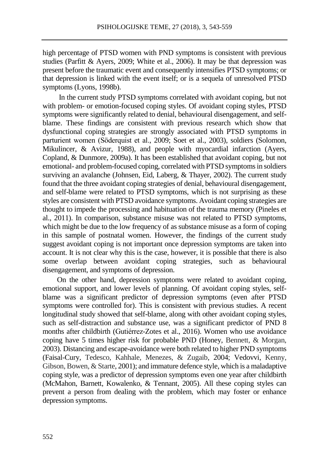high percentage of PTSD women with PND symptoms is consistent with previous studies (Parfitt & Ayers, 2009; White et al., 2006). It may be that depression was present before the traumatic event and consequently intensifies PTSD symptoms; or that depression is linked with the event itself; or is a sequela of unresolved PTSD symptoms (Lyons, 1998b).

In the current study PTSD symptoms correlated with avoidant coping, but not with problem- or emotion-focused coping styles. Of avoidant coping styles, PTSD symptoms were significantly related to denial, behavioural disengagement, and selfblame. These findings are consistent with previous research which show that dysfunctional coping strategies are strongly associated with PTSD symptoms in parturient women (Söderquist et al., 2009; Soet et al., 2003), soldiers (Solomon, Mikulincer, & Avizur, 1988), and people with myocardial infarction (Ayers, Copland, & Dunmore, 2009a). It has been established that avoidant coping, but not emotional- and problem-focused coping, correlated with PTSD symptoms in soldiers surviving an avalanche (Johnsen, Eid, Laberg, & Thayer, 2002). The current study found that the three avoidant coping strategies of denial, behavioural disengagement, and self-blame were related to PTSD symptoms, which is not surprising as these styles are consistent with PTSD avoidance symptoms. Avoidant coping strategies are thought to impede the processing and habituation of the trauma memory (Pineles et al., 2011). In comparison, substance misuse was not related to PTSD symptoms, which might be due to the low frequency of as substance misuse as a form of coping in this sample of postnatal women. However, the findings of the current study suggest avoidant coping is not important once depression symptoms are taken into account. It is not clear why this is the case, however, it is possible that there is also some overlap between avoidant coping strategies, such as behavioural disengagement, and symptoms of depression.

On the other hand, depression symptoms were related to avoidant coping, emotional support, and lower levels of planning. Of avoidant coping styles, selfblame was a significant predictor of depression symptoms (even after PTSD symptoms were controlled for). This is consistent with previous studies. A recent longitudinal study showed that self-blame, along with other avoidant coping styles, such as self-distraction and substance use, was a significant predictor of PND 8 months after childbirth (Gutiérrez-Zotes et al., 2016). Women who use avoidance coping have 5 times higher risk for probable PND (Honey, Bennett, & Morgan, 2003). Distancing and escape-avoidance were both related to higher PND symptoms (Faisal-Cury, Tedesco, Kahhale, Menezes, & Zugaib, 2004; Vedovvi, Kenny, Gibson, Bowen, & Starte, 2001); and immature defence style, which is a maladaptive coping style, was a predictor of depression symptoms even one year after childbirth (McMahon, Barnett, Kowalenko, & Tennant, 2005). All these coping styles can prevent a person from dealing with the problem, which may foster or enhance depression symptoms.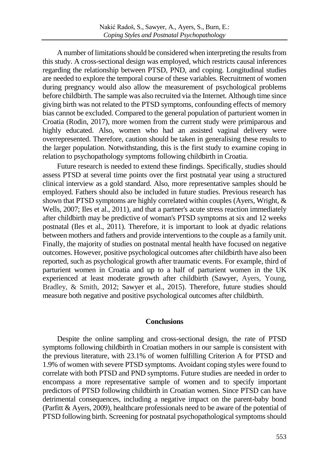A number of limitations should be considered when interpreting the results from this study. A cross-sectional design was employed, which restricts causal inferences regarding the relationship between PTSD, PND, and coping. Longitudinal studies are needed to explore the temporal course of these variables. Recruitment of women during pregnancy would also allow the measurement of psychological problems before childbirth. The sample was also recruited via the Internet. Although time since giving birth was not related to the PTSD symptoms, confounding effects of memory bias cannot be excluded. Compared to the general population of parturient women in Croatia (Rodin, 2017), more women from the current study were primiparous and highly educated. Also, women who had an assisted vaginal delivery were overrepresented. Therefore, caution should be taken in generalising these results to the larger population. Notwithstanding, this is the first study to examine coping in relation to psychopathology symptoms following childbirth in Croatia.

Future research is needed to extend these findings. Specifically, studies should assess PTSD at several time points over the first postnatal year using a structured clinical interview as a gold standard. Also, more representative samples should be employed. Fathers should also be included in future studies. Previous research has shown that PTSD symptoms are highly correlated within couples (Ayers, Wright, & Wells, 2007; Iles et al., 2011), and that a partner's acute stress reaction immediately after childbirth may be predictive of woman's PTSD symptoms at six and 12 weeks postnatal (Iles et al., 2011). Therefore, it is important to look at dyadic relations between mothers and fathers and provide interventions to the couple as a family unit. Finally, the majority of studies on postnatal mental health have focused on negative outcomes. However, positive psychological outcomes after childbirth have also been reported, such as psychological growth after traumatic events. For example, third of parturient women in Croatia and up to a half of parturient women in the UK experienced at least moderate growth after childbirth (Sawyer, Ayers, Young, Bradley, & Smith, 2012; Sawyer et al., 2015). Therefore, future studies should measure both negative and positive psychological outcomes after childbirth.

### **Conclusions**

Despite the online sampling and cross-sectional design, the rate of PTSD symptoms following childbirth in Croatian mothers in our sample is consistent with the previous literature, with 23.1% of women fulfilling Criterion A for PTSD and 1.9% of women with severe PTSD symptoms. Avoidant coping styles were found to correlate with both PTSD and PND symptoms. Future studies are needed in order to encompass a more representative sample of women and to specify important predictors of PTSD following childbirth in Croatian women. Since PTSD can have detrimental consequences, including a negative impact on the parent-baby bond (Parfitt & Ayers, 2009), healthcare professionals need to be aware of the potential of PTSD following birth. Screening for postnatal psychopathological symptoms should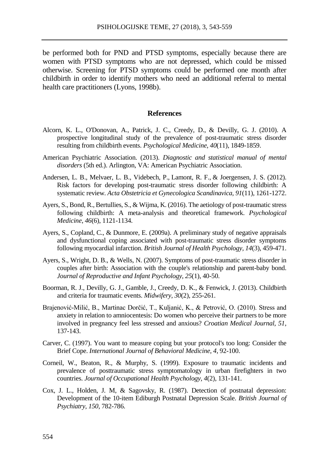be performed both for PND and PTSD symptoms, especially because there are women with PTSD symptoms who are not depressed, which could be missed otherwise. Screening for PTSD symptoms could be performed one month after childbirth in order to identify mothers who need an additional referral to mental health care practitioners (Lyons, 1998b).

## **References**

- Alcorn, K. L., O'Donovan, A., Patrick, J. C., Creedy, D., & Devilly, G. J. (2010). A prospective longitudinal study of the prevalence of post-traumatic stress disorder resulting from childbirth events. *Psychological Medicine, 40*(11), 1849-1859.
- American Psychiatric Association. (2013). *Diagnostic and statistical manual of mental disorders* (5th ed.). Arlington, VA: American Psychiatric Association.
- Andersen, L. B., Melvaer, L. B., Videbech, P., Lamont, R. F., & Joergensen, J. S. (2012). Risk factors for developing post-traumatic stress disorder following childbirth: A systematic review. *Acta Obstetricia et Gynecologica Scandinavica, 91*(11), 1261-1272.
- Ayers, S., Bond, R., Bertullies, S., & Wijma, K. (2016). The aetiology of post-traumatic stress following childbirth: A meta-analysis and theoretical framework. *Psychological Medicine*, *46*(6), 1121-1134.
- Ayers, S., Copland, C., & Dunmore, E. (2009a). A preliminary study of negative appraisals and dysfunctional coping associated with post-traumatic stress disorder symptoms following myocardial infarction. *British Journal of Health Psychology, 14*(3), 459-471.
- Ayers, S., Wright, D. B., & Wells, N. (2007). Symptoms of post-traumatic stress disorder in couples after birth: Association with the couple's relationship and parent-baby bond. *Journal of Reproductive and Infant Psychology, 25*(1), 40-50.
- Boorman, R. J., Devilly, G. J., Gamble, J., Creedy, D. K., & Fenwick, J. (2013). Childbirth and criteria for traumatic events. *Midwifery*, *30*(2), 255-261.
- Brajenović-Milić, B., Martinac Dorčić, T., Kuljanić, K., & Petrović, O. (2010). Stress and anxiety in relation to amniocentesis: Do women who perceive their partners to be more involved in pregnancy feel less stressed and anxious? *Croatian Medical Journal, 51*, 137-143.
- Carver, C. (1997). You want to measure coping but your protocol's too long: Consider the Brief Cope. *International Journal of Behavioral Medicine, 4*, 92-100.
- Corneil, W., Beaton, R., & Murphy, S. (1999). Exposure to traumatic incidents and prevalence of posttraumatic stress symptomatology in urban firefighters in two countries. *Journal of Occupational Health Psychology, 4*(2), 131-141.
- Cox, J. L., Holden, J. M, & Sagovsky, R. (1987). Detection of postnatal depression: Development of the 10-item Ediburgh Postnatal Depression Scale. *British Journal of Psychiatry, 150*, 782-786.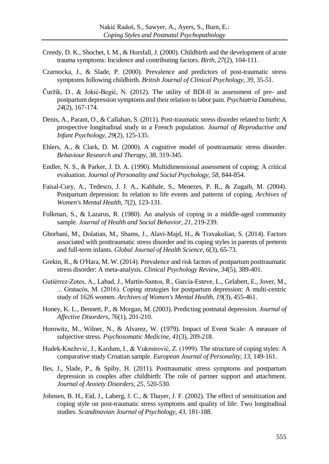- Creedy, D. K., Shochet, I. M., & Horsfall, J. (2000). Childbirth and the development of acute trauma symptoms: Incidence and contributing factors. *Birth, 27*(2), 104-111.
- Czarnocka, J., & Slade, P. (2000). Prevalence and predictors of post-traumatic stress symptoms following childbirth. *British Journal of Clinical Psychology, 39*, 35-51.
- Čuržik, D., & Jokić-Begić, N. (2012). The utility of BDI-II in assessment of pre- and postpartum depression symptoms and their relation to labor pain. *Psychiatria Danubina, 24*(2), 167-174.
- Denis, A., Parant, O., & Callahan, S. (2011). Post-traumatic stress disorder related to birth: A prospective longitudinal study in a French population. *Journal of Reproductive and Infant Psychology, 29*(2), 125-135.
- Ehlers, A., & Clark, D. M. (2000). A cognitive model of posttraumatic stress disorder. *Behaviour Research and Therapy, 38*, 319-345.
- Endler, N. S., & Parker, J. D. A. (1990). Multidimensional assessment of coping: A critical evaluation. *Journal of Personality and Social Psychology, 58,* 844-854.
- Faisal-Cury, A., Tedesco, J. J. A., Kahhale, S., Menezes, P. R., & Zugaib, M. (2004). Postpartum depression: In relation to life events and patterns of coping. *Archives of Women's Mental Health*, *7*(2), 123-131.
- Folkman, S., & Lazarus, R. (1980). An analysis of coping in a middle-aged community sample. *Journal of Health and Social Behavior, 21,* 219-239.
- Ghorbani, M., Dolatian, M., Shams, J., Alavi-Majd, H., & Travakolian, S. (2014). Factors associated with posttraumatic stress disorder and its coping styles in parents of preterm and full-term infants. *Global Journal of Health Science, 6*(3), 65-73.
- Grekin, R., & O'Hara, M. W. (2014). Prevalence and risk factors of postpartum posttraumatic stress disorder: A meta-analysis. *Clinical Psychology Review*, *34*(5), 389-401.
- Gutiérrez-Zotes, A., Labad, J., Martín-Santos, R., García-Esteve, L., Gelabert, E., Jover, M., ... Gratacós, M. (2016). Coping strategies for postpartum depression: A multi-centric study of 1626 women. *Archives of Women's Mental Health*, *19*(3), 455-461.
- Honey, K. L., Bennett, P., & Morgan, M. (2003). Predicting postnatal depression. *Journal of Affective Disorders*, *76*(1), 201-210.
- Horowitz, M., Wilner, N., & Alvarez, W. (1979). Impact of Event Scale: A measure of subjective stress. *Psychosomatic Medicine, 41*(3), 209-218.
- Hudek-Knežević, J., Kardum, I., & Vukmirović, Z. (1999). The structure of coping styles: A comparative study Croatian sample. *European Journal of Personality, 13*, 149-161.
- Iles, J., Slade, P., & Spiby, H. (2011). Posttraumatic stress symptoms and postpartum depression in couples after childbirth: The role of partner support and attachment. *Journal of Anxiety Disorders, 25,* 520-530.
- Johnsen, B. H., Eid, J., Laberg, J. C., & Thayer, J. F. (2002). The effect of sensitization and coping style on post-traumatic stress symptoms and quality of life: Two longitudinal studies. *Scandinavian Journal of Psychology, 43,* 181-188.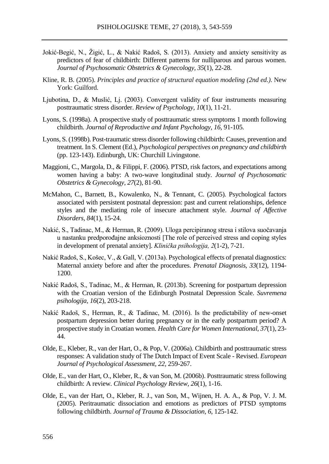- Jokić-Begić, N., Žigić, L., & Nakić Radoš, S. (2013). Anxiety and anxiety sensitivity as predictors of fear of childbirth: Different patterns for nulliparous and parous women. *Journal of Psychosomatic Obstetrics & Gynecology, 35*(1), 22-28*.*
- Kline, R. B. (2005). *Principles and practice of structural equation modeling (2nd ed.)*. New York: Guilford.
- Ljubotina, D., & Muslić, Lj. (2003). Convergent validity of four instruments measuring posttraumatic stress disorder. *Review of Psychology, 10*(1), 11-21.
- Lyons, S. (1998a). A prospective study of posttraumatic stress symptoms 1 month following childbirth. *Journal of Reproductive and Infant Psychology, 16,* 91-105.
- Lyons, S. (1998b). Post-traumatic stress disorder following childbirth: Causes, prevention and treatment. In S. Clement (Ed.), *Psychological perspectives on pregnancy and childbirth* (pp. 123-143). Edinburgh, UK: Churchill Livingstone.
- Maggioni, C., Margola, D., & Filippi, F. (2006). PTSD, risk factors, and expectations among women having a baby: A two-wave longitudinal study. *Journal of Psychosomatic Obstetrics & Gynecology, 27*(2), 81-90.
- McMahon, C., Barnett, B., Kowalenko, N., & Tennant, C. (2005). Psychological factors associated with persistent postnatal depression: past and current relationships, defence styles and the mediating role of insecure attachment style. *Journal of Affective Disorders*, *84*(1), 15-24.
- Nakić, S., Tadinac, M., & Herman, R. (2009). Uloga percipiranog stresa i stilova suočavanja u nastanku predporođajne anksioznosti [The role of perceived stress and coping styles in development of prenatal anxiety]. *Klinička psihologija, 2*(1-2), 7-21.
- Nakić Radoš, S., Košec, V., & Gall, V. (2013a). Psychological effects of prenatal diagnostics: Maternal anxiety before and after the procedures. *Prenatal Diagnosis, 33*(12), 1194- 1200.
- Nakić Radoš, S., Tadinac, M., & Herman, R. (2013b). Screening for postpartum depression with the Croatian version of the Edinburgh Postnatal Depression Scale. *Suvremena psihologija, 16*(2), 203-218.
- Nakić Radoš, S., Herman, R., & Tadinac, M. (2016). Is the predictability of new-onset postpartum depression better during pregnancy or in the early postpartum period? A prospective study in Croatian women. *Health Care for Women International*, *37*(1), 23- 44.
- Olde, E., Kleber, R., van der Hart, O., & Pop, V. (2006a). Childbirth and posttraumatic stress responses: A validation study of The Dutch Impact of Event Scale - Revised. *European Journal of Psychological Assessment*, *22*, 259-267.
- Olde, E., van der Hart, O., Kleber, R., & van Son, M. (2006b). Posttraumatic stress following childbirth: A review. *Clinical Psychology Review, 26*(1), 1-16.
- Olde, E., van der Hart, O., Kleber, R. J., van Son, M., Wijnen, H. A. A., & Pop, V. J. M. (2005). Peritraumatic dissociation and emotions as predictors of PTSD symptoms following childbirth. *Journal of Trauma & Dissociation, 6*, 125-142.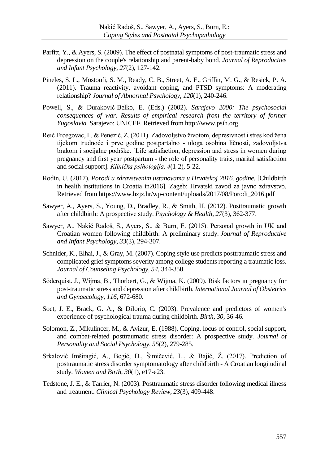- Parfitt, Y., & Ayers, S. (2009). The effect of postnatal symptoms of post-traumatic stress and depression on the couple's relationship and parent-baby bond. *Journal of Reproductive and Infant Psychology, 27*(2), 127-142.
- Pineles, S. L., Mostoufi, S. M., Ready, C. B., Street, A. E., Griffin, M. G., & Resick, P. A. (2011). Trauma reactivity, avoidant coping, and PTSD symptoms: A moderating relationship? *Journal of Abnormal Psychology*, *120*(1), 240-246.
- Powell, S., & Duraković-Belko, E. (Eds.) (2002). *Sarajevo 2000: The psychosocial consequences of war. Results of empirical research from the territory of former Yugoslavia.* Sarajevo: UNICEF. Retrieved from http://www.psih.org.
- Reić Ercegovac, I., & Penezić, Z. (2011). Zadovoljstvo životom, depresivnost i stres kod žena tijekom trudnoće i prve godine postpartalno - uloga osobina ličnosti, zadovoljstva brakom i socijalne podrške. [Life satisfaction, depression and stress in women during pregnancy and first year postpartum - the role of personality traits, marital satisfaction and social support]. *Klinička psihologija, 4*(1-2), 5-22.
- Rodin, U. (2017). *Porodi u zdravstvenim ustanovama u Hrvatskoj 2016. godine.* [Childbirth in health institutions in Croatia in2016]. Zageb: Hrvatski zavod za javno zdravstvo. Retrieved from https://www.hzjz.hr/wp-content/uploads/2017/08/Porodi\_2016.pdf
- Sawyer, A., Ayers, S., Young, D., Bradley, R., & Smith, H. (2012). Posttraumatic growth after childbirth: A prospective study. *Psychology & Health*, *27*(3), 362-377.
- Sawyer, A., Nakić Radoš, S., Ayers, S., & Burn, E. (2015). Personal growth in UK and Croatian women following childbirth: A preliminary study. *Journal of Reproductive and Infant Psychology*, *33*(3), 294-307.
- Schnider, K., Elhai, J., & Gray, M. (2007). Coping style use predicts posttraumatic stress and complicated grief symptoms severity among college students reporting a traumatic loss. *Journal of Counseling Psychology, 54*, 344-350.
- Söderquist, J., Wijma, B., Thorbert, G., & Wijma, K. (2009). Risk factors in pregnancy for post-traumatic stress and depression after childbirth. *International Journal of Obstetrics and Gynaecology, 116*, 672-680.
- Soet, J. E., Brack, G. A., & DiIorio, C. (2003). Prevalence and predictors of women's experience of psychological trauma during childbirth. *Birth, 30*, 36-46.
- Solomon, Z., Mikulincer, M., & Avizur, E. (1988). Coping, locus of control, social support, and combat-related posttraumatic stress disorder: A prospective study. *Journal of Personality and Social Psychology, 55*(2), 279-285.
- Srkalović Imširagić, A., Begić, D., Šimičević, L., & Bajić, Ž. (2017). Prediction of posttraumatic stress disorder symptomatology after childbirth - A Croatian longitudinal study. *Women and Birth*, *30*(1), e17-e23.
- Tedstone, J. E., & Tarrier, N. (2003). Posttraumatic stress disorder following medical illness and treatment. *Clinical Psychology Review, 23*(3), 409-448.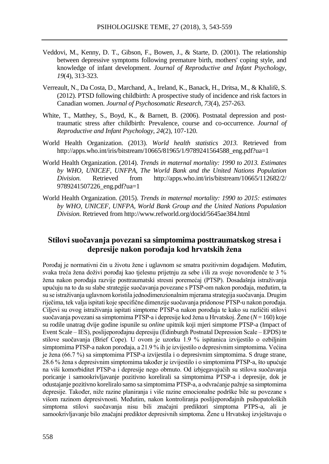- Veddovi, M., Kenny, D. T., Gibson, F., Bowen, J., & Starte, D. (2001). The relationship between depressive symptoms following premature birth, mothers' coping style, and knowledge of infant development. *Journal of Reproductive and Infant Psychology*, *19*(4), 313-323.
- Verreault, N., Da Costa, D., Marchand, A., Ireland, K., Banack, H., Dritsa, M., & Khalifé, S. (2012). PTSD following childbirth: A prospective study of incidence and risk factors in Canadian women. *Journal of Psychosomatic Research, 73*(4), 257-263.
- White, T., Matthey, S., Boyd, K., & Barnett, B. (2006). Postnatal depression and posttraumatic stress after childbirth: Prevalence, course and co-occurrence. *Journal of Reproductive and Infant Psychology, 24*(2), 107-120.
- World Health Organization. (2013). *World health statistics 2013.* Retrieved from http://apps.who.int/iris/bitstream/10665/81965/1/9789241564588 eng.pdf?ua=1
- World Health Organization. (2014). *Trends in maternal mortality: 1990 to 2013. Estimates by WHO, UNICEF, UNFPA, The World Bank and the United Nations Population Division.* Retrieved from http://apps.who.int/iris/bitstream/10665/112682/2/ 9789241507226\_eng.pdf?ua=1
- World Health Organization. (2015). *Trends in maternal mortality: 1990 to 2015: estimates by WHO, UNICEF, UNFPA, World Bank Group and the United Nations Population Division.* Retrieved from http://www.refworld.org/docid/5645ae384.html

# **Stilovi suočavanja povezani sa simptomima posttraumatskog stresa i depresije nakon porođaja kod hrvatskih žena**

Porođaj je normativni čin u životu žene i uglavnom se smatra pozitivnim događajem. Međutim, svaka treća žena doživi porođaj kao tjelesnu prijetnju za sebe i/ili za svoje novorođenče te 3 % žena nakon porođaja razvije posttraumatski stresni poremećaj (PTSP). Dosadašnja istraživanja upućuju na to da su slabe strategije suočavanja povezane s PTSP-om nakon porođaja, međutim, ta su se istraživanja uglavnom koristila jednodimenzionalnim mjerama strategija suočavanja. Drugim riječima, tek valja ispitati koje specifične dimenzije suočavanja pridonose PTSP-u nakon porođaja. Ciljevi su ovog istraživanja ispitati simptome PTSP-a nakon porođaja te kako su različiti stilovi suočavanja povezani sa simptomima PTSP-a i depresije kod žena u Hrvatskoj. Žene (*N* = 160) koje su rodile unatrag dvije godine ispunile su *online* upitnik koji mjeri simptome PTSP-a (Impact of Event Scale – IES), poslijeporođajnu depresiju (Edinburgh Postnatal Depression Scale – EPDS) te stilove suočavanja (Brief Cope). U ovom je uzorku 1.9 % ispitanica izvijestilo o ozbiljnim simptomima PTSP-a nakon porođaja, a 21.9 % ih je izvijestilo o depresivnim simptomima. Većina je žena (66.7 %) sa simptomima PTSP-a izvijestila i o depresivnim simptomima. S druge strane, 28.6 % žena s depresivnim simptomima također je izvijestilo i o simptomima PTSP-a, što upućuje na viši komorbiditet PTSP-a i depresije nego obrnuto. Od izbjegavajućih su stilova suočavanja poricanje i samookrivljavanje pozitivno korelirali sa simptomima PTSP-a i depresije, dok je odustajanje pozitivno koreliralo samo sa simptomima PTSP-a, a odvraćanje pažnje sa simptomima depresije. Također, niže razine planiranja i više razine emocionalne podrške bile su povezane s višom razinom depresivnosti. Međutim, nakon kontroliranja poslijeporođajnih psihopatoloških simptoma stilovi suočavanja nisu bili značajni prediktori simptoma PTPS-a, ali je samookrivljavanje bilo značajni prediktor depresivnih simptoma. Žene u Hrvatskoj izvještavaju o